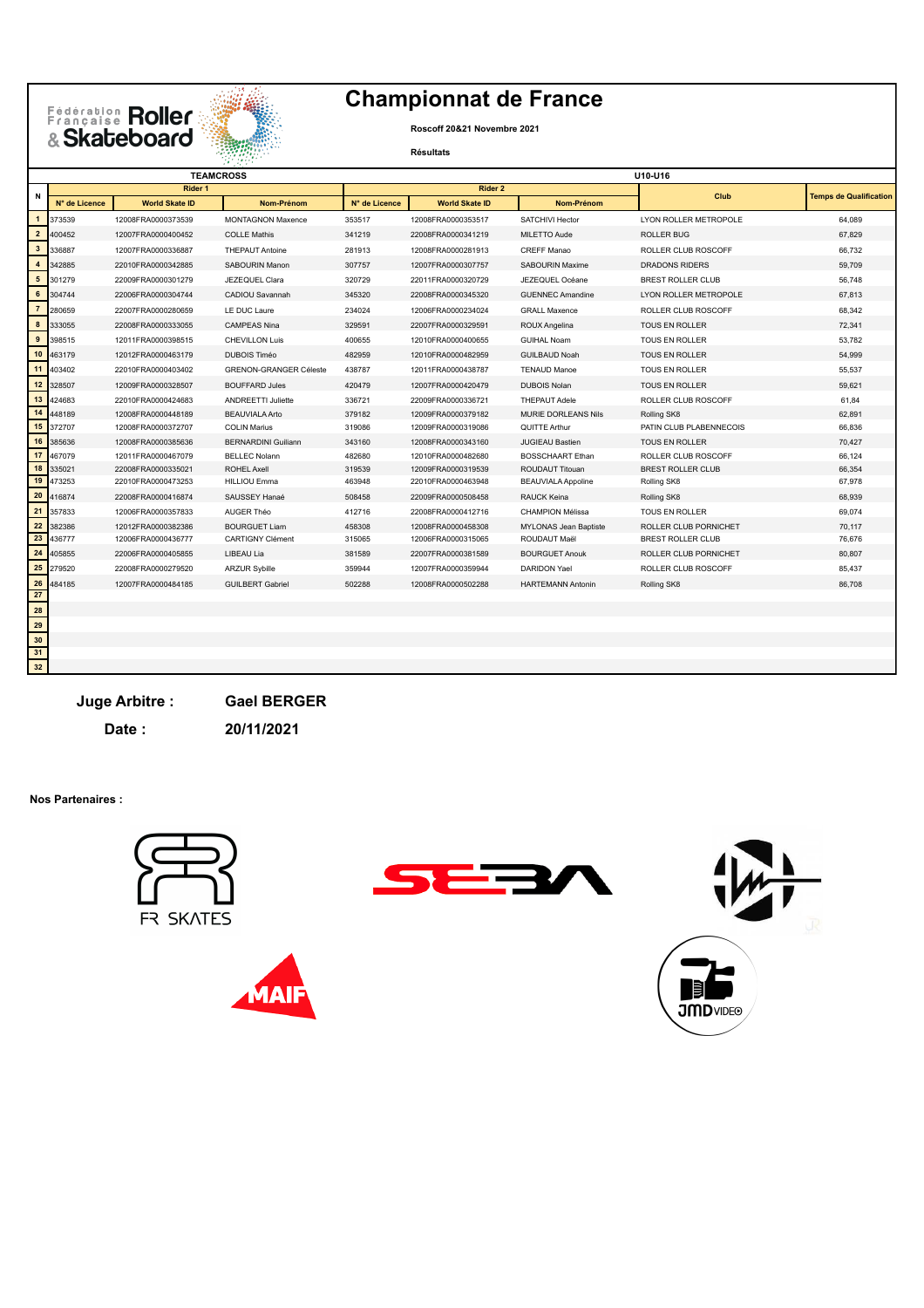## Eédération Roller<br>Brançaise Roller



## **Championnat de France**

**Roscoff 20&21 Novembre 2021**

**Résultats**

|                       |                  | <b>TEAMCROSS</b>      |                                       | U10-U16       |                       |                            |                          |                               |  |
|-----------------------|------------------|-----------------------|---------------------------------------|---------------|-----------------------|----------------------------|--------------------------|-------------------------------|--|
| N                     | Rider 1          |                       |                                       | Rider 2       |                       |                            | Club                     | <b>Temps de Qualification</b> |  |
|                       | N° de Licence    | <b>World Skate ID</b> | Nom-Prénom                            | N° de Licence | <b>World Skate ID</b> | Nom-Prénom                 |                          |                               |  |
| $\mathbf{1}$          | 373539           | 12008FRA0000373539    | <b>MONTAGNON Maxence</b>              | 353517        | 12008FRA0000353517    | SATCHIVI Hector            | LYON ROLLER METROPOLE    | 64.089                        |  |
| $\overline{2}$        | 400452           | 12007FRA0000400452    | <b>COLLE Mathis</b>                   | 341219        | 22008FRA0000341219    | MILETTO Aude               | <b>ROLLER BUG</b>        | 67,829                        |  |
| $\mathbf{3}$          | 336887           | 12007FRA0000336887    | <b>THEPAUT Antoine</b>                | 281913        | 12008FRA0000281913    | <b>CREFF Manao</b>         | ROLLER CLUB ROSCOFF      | 66,732                        |  |
| $\overline{4}$        | 342885           | 22010FRA0000342885    | <b>SABOURIN Manon</b>                 | 307757        | 12007FRA0000307757    | SABOURIN Maxime            | DRADONS RIDERS           | 59,709                        |  |
| ${\bf 5}$             | 301279           | 22009FRA0000301279    | JEZEQUEL Clara                        | 320729        | 22011FRA0000320729    | JEZEQUEL Océane            | BREST ROLLER CLUB        | 56.748                        |  |
| 6                     | 304744           | 22006FRA0000304744    | CADIOU Savannah                       | 345320        | 22008FRA0000345320    | <b>GUENNEC Amandine</b>    | LYON ROLLER METROPOLE    | 67,813                        |  |
| $\overline{7}$        | 280659           | 22007FRA0000280659    | LE DUC Laure                          | 234024        | 12006FRA0000234024    | <b>GRALL Maxence</b>       | ROLLER CLUB ROSCOFF      | 68.342                        |  |
| 8                     | 333055           | 22008FRA0000333055    | <b>CAMPEAS Nina</b>                   | 329591        | 22007FRA0000329591    | ROUX Angelina              | TOUS EN ROLLER           | 72,341                        |  |
| 9                     | 398515           | 12011FRA0000398515    | <b>CHEVILLON Luis</b>                 | 400655        | 12010FRA0000400655    | <b>GUIHAL Noam</b>         | <b>TOUS EN ROLLER</b>    | 53,782                        |  |
| 10                    | 463179           | 12012FRA0000463179    | <b>DUBOIS Timéo</b>                   | 482959        | 12010FRA0000482959    | <b>GUILBAUD Noah</b>       | <b>TOUS EN ROLLER</b>    | 54,999                        |  |
| 11                    | 403402           | 22010FRA0000403402    | <b>GRENON-GRANGER Céleste</b>         | 438787        | 12011FRA0000438787    | <b>TENAUD Manoe</b>        | <b>TOUS EN ROLLER</b>    | 55.537                        |  |
| 12                    | 328507           | 12009FRA0000328507    | <b>BOUFFARD Jules</b>                 | 420479        | 12007FRA0000420479    | <b>DUBOIS Nolan</b>        | <b>TOUS EN ROLLER</b>    | 59.621                        |  |
| 13                    | 424683           | 22010FRA0000424683    | <b>ANDREETTI Juliette</b>             | 336721        | 22009FRA0000336721    | <b>THEPAUT Adele</b>       | ROLLER CLUB ROSCOFF      | 61.84                         |  |
| 14                    | 448189           | 12008FRA0000448189    | <b>BEAUVIALA Arto</b>                 | 379182        | 12009FRA0000379182    | <b>MURIE DORLEANS Nils</b> | Rolling SK8              | 62.891                        |  |
| 15                    | 372707           | 12008FRA0000372707    | <b>COLIN Marius</b>                   | 319086        | 12009FRA0000319086    | QUITTE Arthur              | PATIN CLUB PLABENNECOIS  | 66,836                        |  |
| 16                    | 385636           | 12008FRA0000385636    | <b>BERNARDINI Guiliann</b>            | 343160        | 12008FRA0000343160    | <b>JUGIEAU Bastien</b>     | <b>TOUS EN ROLLER</b>    | 70.427                        |  |
| 17                    | 467079           | 12011FRA0000467079    | <b>BELLEC Nolann</b>                  | 482680        | 12010FRA0000482680    | <b>BOSSCHAART Ethan</b>    | ROLLER CLUB ROSCOFF      | 66,124                        |  |
| 18                    | 335021           | 22008FRA0000335021    | <b>ROHEL Axell</b>                    | 319539        | 12009FRA0000319539    | ROUDAUT Titouan            | <b>BREST ROLLER CLUB</b> | 66,354                        |  |
| 19                    | 473253           | 22010FRA0000473253    | <b>HILLIOU Emma</b>                   | 463948        | 22010FRA0000463948    | <b>BEAUVIALA Appoline</b>  | Rolling SK8              | 67,978                        |  |
| 20                    | 416874           | 22008FRA0000416874    | SAUSSEY Hanaé                         | 508458        | 22009FRA0000508458    | RAUCK Keina                | Rolling SK8              | 68.939                        |  |
| 21                    | 357833           | 12006FRA0000357833    | AUGER Théo                            | 412716        | 22008FRA0000412716    | <b>CHAMPION Mélissa</b>    | TOUS EN ROLLER           | 69,074                        |  |
| 22<br>$\overline{23}$ | 382386           | 12012FRA0000382386    | <b>BOURGUET Liam</b>                  | 458308        | 12008FRA0000458308    | MYLONAS Jean Baptiste      | ROLLER CLUB PORNICHET    | 70,117                        |  |
|                       | 436777<br>405855 | 12006FRA0000436777    | <b>CARTIGNY Clément</b><br>LIBEAU Lia | 315065        | 12006FRA0000315065    | ROUDAUT Maël               | BREST ROLLER CLUB        | 76,676                        |  |
| 24                    | 279520           | 22006FRA0000405855    |                                       | 381589        | 22007FRA0000381589    | <b>BOURGUET Anouk</b>      | ROLLER CLUB PORNICHET    | 80.807                        |  |
| 25<br>26              |                  | 22008FRA0000279520    | <b>ARZUR Sybille</b>                  | 359944        | 12007FRA0000359944    | <b>DARIDON Yael</b>        | ROLLER CLUB ROSCOFF      | 85,437                        |  |
| $\frac{12}{27}$       | 484185           | 12007FRA0000484185    | <b>GUILBERT Gabriel</b>               | 502288        | 12008FRA0000502288    | <b>HARTEMANN Antonin</b>   | Rolling SK8              | 86,708                        |  |

**Juge Arbitre : Gael BERGER**

**Date : 20/11/2021**

**Nos Partenaires :**